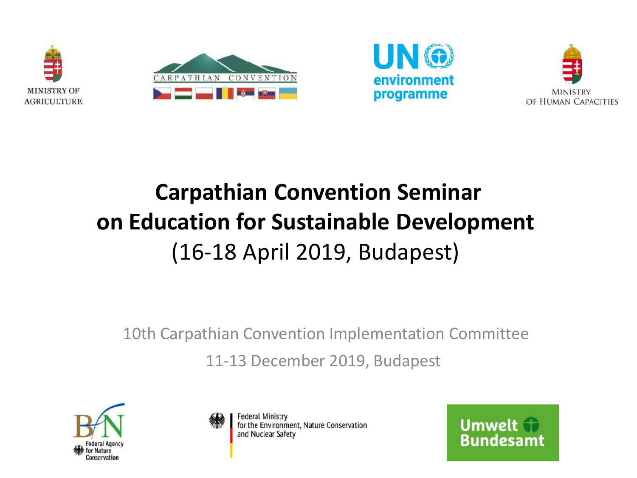







# **Carpathian Convention Seminar on Education for Sustainable Development** (16-18 April 2019, Budapest)

10th Carpathian Convention Implementation Committee 11-13 December 2019, Budapest





**Federal Ministry** for the Environment, Nature Conservation and Nuclear Safety

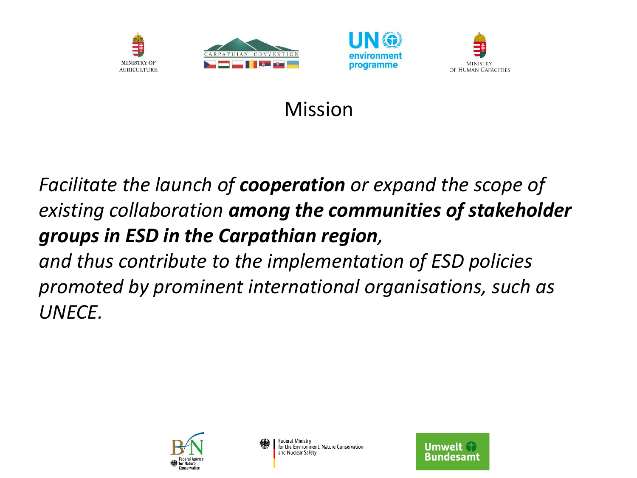





#### Mission

#### *Facilitate the launch of cooperation or expand the scope of existing collaboration among the communities of stakeholder groups in ESD in the Carpathian region,*

*and thus contribute to the implementation of ESD policies promoted by prominent international organisations, such as UNECE.* 



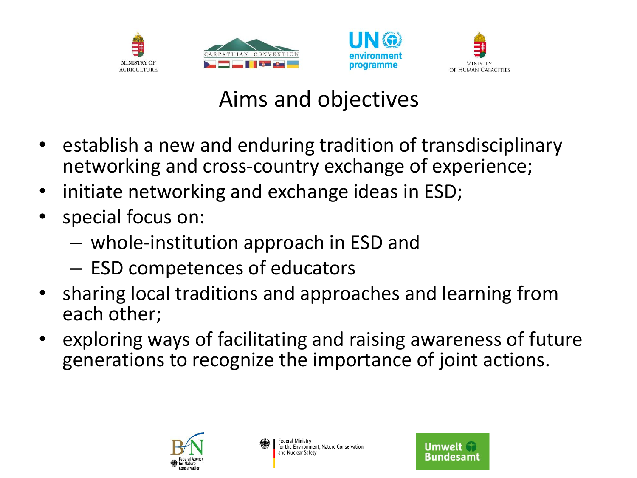





## Aims and objectives

- establish a new and enduring tradition of transdisciplinary networking and cross-country exchange of experience;
- initiate networking and exchange ideas in ESD;
- special focus on:
	- whole-institution approach in ESD and
	- ESD competences of educators
- sharing local traditions and approaches and learning from each other;
- exploring ways of facilitating and raising awareness of future generations to recognize the importance of joint actions.



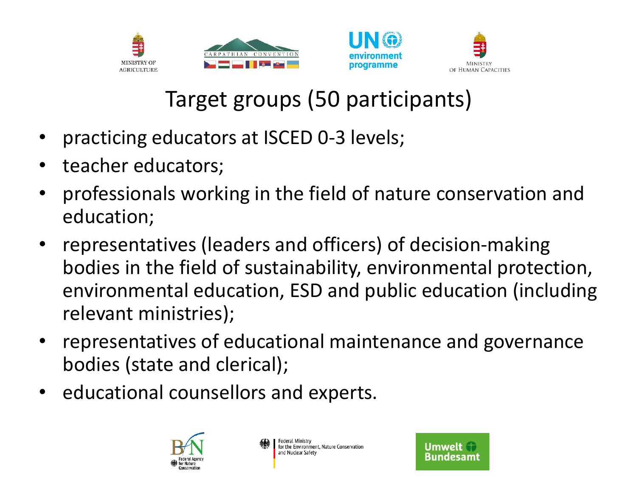





# Target groups (50 participants)

- practicing educators at ISCED 0-3 levels;
- teacher educators;
- professionals working in the field of nature conservation and education;
- representatives (leaders and officers) of decision-making bodies in the field of sustainability, environmental protection, environmental education, ESD and public education (including relevant ministries);
- representatives of educational maintenance and governance bodies (state and clerical);
- educational counsellors and experts.



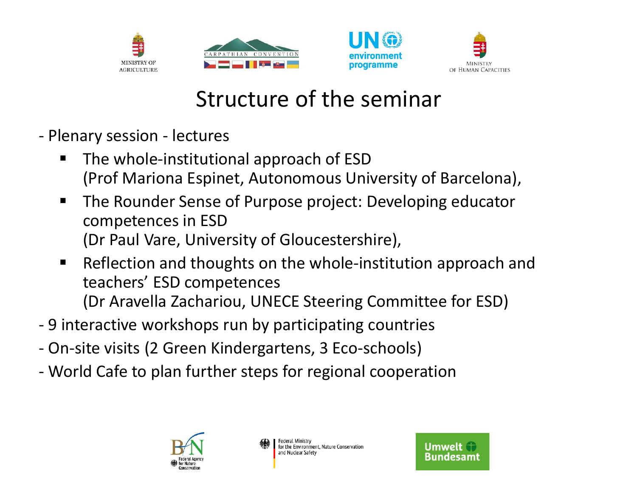





### Structure of the seminar

- Plenary session lectures
	- The whole-institutional approach of ESD (Prof Mariona Espinet, Autonomous University of Barcelona),
	- The Rounder Sense of Purpose project: Developing educator competences in ESD (Dr Paul Vare, University of Gloucestershire),
	- Reflection and thoughts on the whole-institution approach and teachers' ESD competences (Dr Aravella Zachariou, UNECE Steering Committee for ESD)
- 9 interactive workshops run by participating countries
- On-site visits (2 Green Kindergartens, 3 Eco-schools)
- World Cafe to plan further steps for regional cooperation



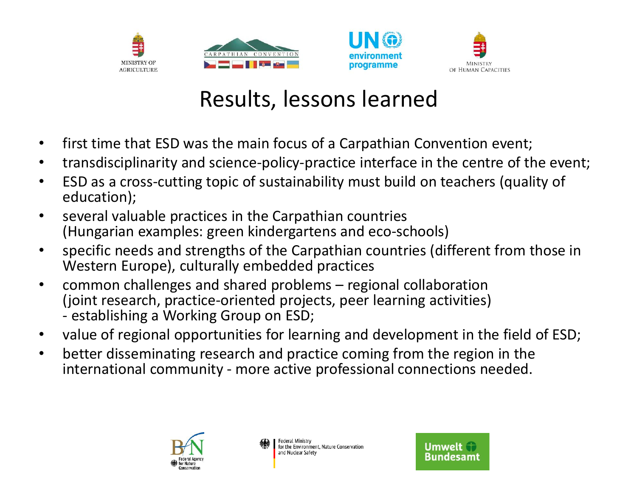





### Results, lessons learned

- first time that ESD was the main focus of a Carpathian Convention event;
- transdisciplinarity and science-policy-practice interface in the centre of the event;
- ESD as a cross-cutting topic of sustainability must build on teachers (quality of education);
- several valuable practices in the Carpathian countries (Hungarian examples: green kindergartens and eco-schools)
- specific needs and strengths of the Carpathian countries (different from those in Western Europe), culturally embedded practices
- common challenges and shared problems regional collaboration (joint research, practice-oriented projects, peer learning activities) - establishing a Working Group on ESD;
- value of regional opportunities for learning and development in the field of ESD;
- better disseminating research and practice coming from the region in the international community - more active professional connections needed.